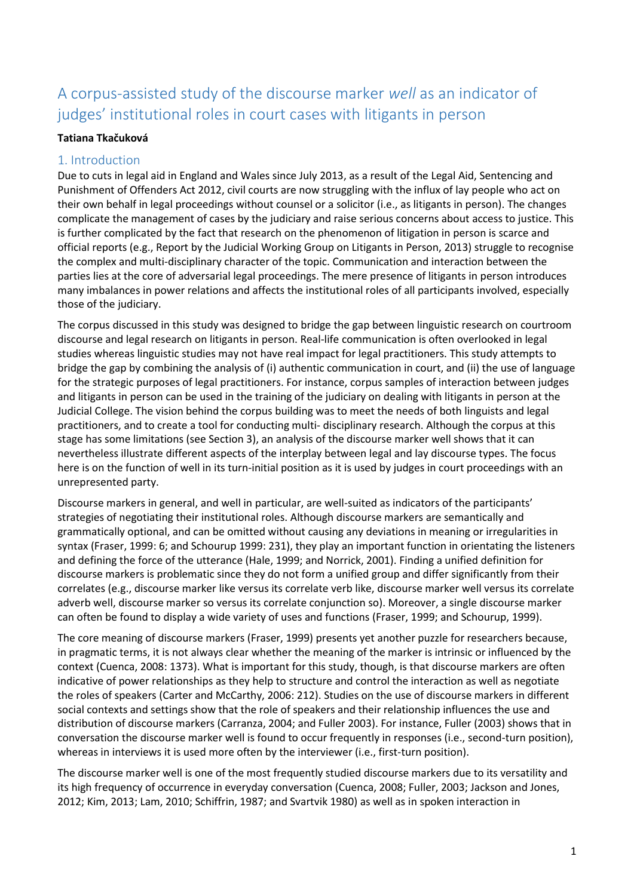# A corpus-assisted study of the discourse marker *well* as an indicator of judges' institutional roles in court cases with litigants in person

#### **Tatiana Tkačuková**

## 1. Introduction

Due to cuts in legal aid in England and Wales since July 2013, as a result of the Legal Aid, Sentencing and Punishment of Offenders Act 2012, civil courts are now struggling with the influx of lay people who act on their own behalf in legal proceedings without counsel or a solicitor (i.e., as litigants in person). The changes complicate the management of cases by the judiciary and raise serious concerns about access to justice. This is further complicated by the fact that research on the phenomenon of litigation in person is scarce and official reports (e.g., Report by the Judicial Working Group on Litigants in Person, 2013) struggle to recognise the complex and multi-disciplinary character of the topic. Communication and interaction between the parties lies at the core of adversarial legal proceedings. The mere presence of litigants in person introduces many imbalances in power relations and affects the institutional roles of all participants involved, especially those of the judiciary.

The corpus discussed in this study was designed to bridge the gap between linguistic research on courtroom discourse and legal research on litigants in person. Real-life communication is often overlooked in legal studies whereas linguistic studies may not have real impact for legal practitioners. This study attempts to bridge the gap by combining the analysis of (i) authentic communication in court, and (ii) the use of language for the strategic purposes of legal practitioners. For instance, corpus samples of interaction between judges and litigants in person can be used in the training of the judiciary on dealing with litigants in person at the Judicial College. The vision behind the corpus building was to meet the needs of both linguists and legal practitioners, and to create a tool for conducting multi- disciplinary research. Although the corpus at this stage has some limitations (see Section 3), an analysis of the discourse marker well shows that it can nevertheless illustrate different aspects of the interplay between legal and lay discourse types. The focus here is on the function of well in its turn-initial position as it is used by judges in court proceedings with an unrepresented party.

Discourse markers in general, and well in particular, are well-suited as indicators of the participants' strategies of negotiating their institutional roles. Although discourse markers are semantically and grammatically optional, and can be omitted without causing any deviations in meaning or irregularities in syntax (Fraser, 1999: 6; and Schourup 1999: 231), they play an important function in orientating the listeners and defining the force of the utterance (Hale, 1999; and Norrick, 2001). Finding a unified definition for discourse markers is problematic since they do not form a unified group and differ significantly from their correlates (e.g., discourse marker like versus its correlate verb like, discourse marker well versus its correlate adverb well, discourse marker so versus its correlate conjunction so). Moreover, a single discourse marker can often be found to display a wide variety of uses and functions (Fraser, 1999; and Schourup, 1999).

The core meaning of discourse markers (Fraser, 1999) presents yet another puzzle for researchers because, in pragmatic terms, it is not always clear whether the meaning of the marker is intrinsic or influenced by the context (Cuenca, 2008: 1373). What is important for this study, though, is that discourse markers are often indicative of power relationships as they help to structure and control the interaction as well as negotiate the roles of speakers (Carter and McCarthy, 2006: 212). Studies on the use of discourse markers in different social contexts and settings show that the role of speakers and their relationship influences the use and distribution of discourse markers (Carranza, 2004; and Fuller 2003). For instance, Fuller (2003) shows that in conversation the discourse marker well is found to occur frequently in responses (i.e., second-turn position), whereas in interviews it is used more often by the interviewer (i.e., first-turn position).

The discourse marker well is one of the most frequently studied discourse markers due to its versatility and its high frequency of occurrence in everyday conversation (Cuenca, 2008; Fuller, 2003; Jackson and Jones, 2012; Kim, 2013; Lam, 2010; Schiffrin, 1987; and Svartvik 1980) as well as in spoken interaction in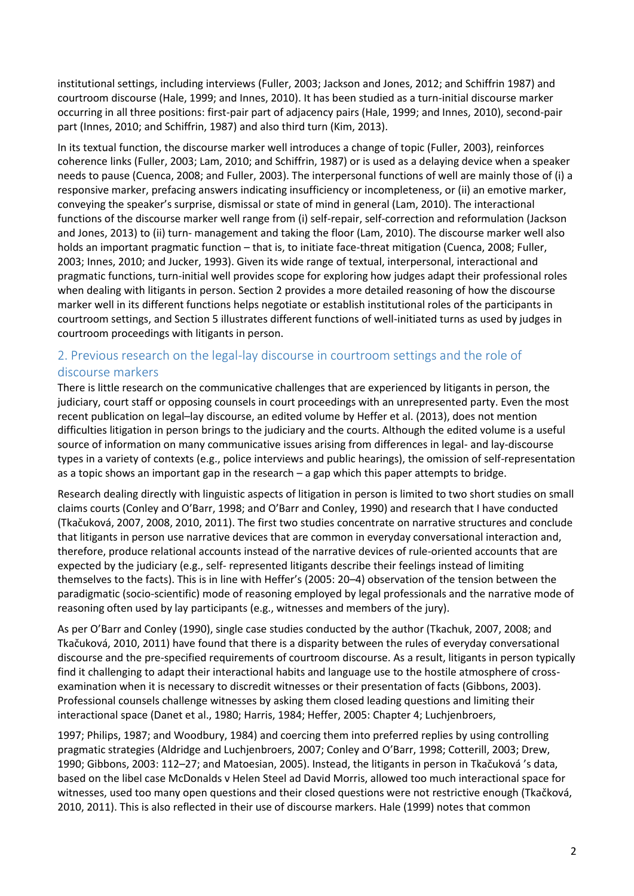institutional settings, including interviews (Fuller, 2003; Jackson and Jones, 2012; and Schiffrin 1987) and courtroom discourse (Hale, 1999; and Innes, 2010). It has been studied as a turn-initial discourse marker occurring in all three positions: first-pair part of adjacency pairs (Hale, 1999; and Innes, 2010), second-pair part (Innes, 2010; and Schiffrin, 1987) and also third turn (Kim, 2013).

In its textual function, the discourse marker well introduces a change of topic (Fuller, 2003), reinforces coherence links (Fuller, 2003; Lam, 2010; and Schiffrin, 1987) or is used as a delaying device when a speaker needs to pause (Cuenca, 2008; and Fuller, 2003). The interpersonal functions of well are mainly those of (i) a responsive marker, prefacing answers indicating insufficiency or incompleteness, or (ii) an emotive marker, conveying the speaker's surprise, dismissal or state of mind in general (Lam, 2010). The interactional functions of the discourse marker well range from (i) self-repair, self-correction and reformulation (Jackson and Jones, 2013) to (ii) turn- management and taking the floor (Lam, 2010). The discourse marker well also holds an important pragmatic function – that is, to initiate face-threat mitigation (Cuenca, 2008; Fuller, 2003; Innes, 2010; and Jucker, 1993). Given its wide range of textual, interpersonal, interactional and pragmatic functions, turn-initial well provides scope for exploring how judges adapt their professional roles when dealing with litigants in person. Section 2 provides a more detailed reasoning of how the discourse marker well in its different functions helps negotiate or establish institutional roles of the participants in courtroom settings, and Section 5 illustrates different functions of well-initiated turns as used by judges in courtroom proceedings with litigants in person.

## 2. Previous research on the legal-lay discourse in courtroom settings and the role of discourse markers

There is little research on the communicative challenges that are experienced by litigants in person, the judiciary, court staff or opposing counsels in court proceedings with an unrepresented party. Even the most recent publication on legal–lay discourse, an edited volume by Heffer et al. (2013), does not mention difficulties litigation in person brings to the judiciary and the courts. Although the edited volume is a useful source of information on many communicative issues arising from differences in legal- and lay-discourse types in a variety of contexts (e.g., police interviews and public hearings), the omission of self-representation as a topic shows an important gap in the research – a gap which this paper attempts to bridge.

Research dealing directly with linguistic aspects of litigation in person is limited to two short studies on small claims courts (Conley and O'Barr, 1998; and O'Barr and Conley, 1990) and research that I have conducted (Tkačuková, 2007, 2008, 2010, 2011). The first two studies concentrate on narrative structures and conclude that litigants in person use narrative devices that are common in everyday conversational interaction and, therefore, produce relational accounts instead of the narrative devices of rule-oriented accounts that are expected by the judiciary (e.g., self- represented litigants describe their feelings instead of limiting themselves to the facts). This is in line with Heffer's (2005: 20–4) observation of the tension between the paradigmatic (socio-scientific) mode of reasoning employed by legal professionals and the narrative mode of reasoning often used by lay participants (e.g., witnesses and members of the jury).

As per O'Barr and Conley (1990), single case studies conducted by the author (Tkachuk, 2007, 2008; and Tkačuková, 2010, 2011) have found that there is a disparity between the rules of everyday conversational discourse and the pre-specified requirements of courtroom discourse. As a result, litigants in person typically find it challenging to adapt their interactional habits and language use to the hostile atmosphere of crossexamination when it is necessary to discredit witnesses or their presentation of facts (Gibbons, 2003). Professional counsels challenge witnesses by asking them closed leading questions and limiting their interactional space (Danet et al., 1980; Harris, 1984; Heffer, 2005: Chapter 4; Luchjenbroers,

1997; Philips, 1987; and Woodbury, 1984) and coercing them into preferred replies by using controlling pragmatic strategies (Aldridge and Luchjenbroers, 2007; Conley and O'Barr, 1998; Cotterill, 2003; Drew, 1990; Gibbons, 2003: 112–27; and Matoesian, 2005). Instead, the litigants in person in Tkačuková 's data, based on the libel case McDonalds v Helen Steel ad David Morris, allowed too much interactional space for witnesses, used too many open questions and their closed questions were not restrictive enough (Tkačková, 2010, 2011). This is also reflected in their use of discourse markers. Hale (1999) notes that common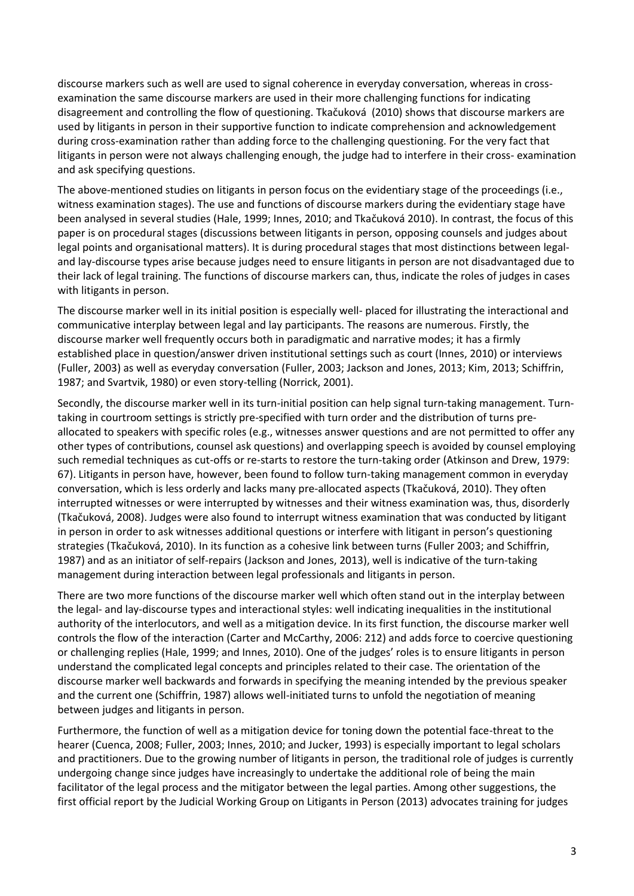discourse markers such as well are used to signal coherence in everyday conversation, whereas in crossexamination the same discourse markers are used in their more challenging functions for indicating disagreement and controlling the flow of questioning. Tkačuková (2010) shows that discourse markers are used by litigants in person in their supportive function to indicate comprehension and acknowledgement during cross-examination rather than adding force to the challenging questioning. For the very fact that litigants in person were not always challenging enough, the judge had to interfere in their cross- examination and ask specifying questions.

The above-mentioned studies on litigants in person focus on the evidentiary stage of the proceedings (i.e., witness examination stages). The use and functions of discourse markers during the evidentiary stage have been analysed in several studies (Hale, 1999; Innes, 2010; and Tkačuková 2010). In contrast, the focus of this paper is on procedural stages (discussions between litigants in person, opposing counsels and judges about legal points and organisational matters). It is during procedural stages that most distinctions between legaland lay-discourse types arise because judges need to ensure litigants in person are not disadvantaged due to their lack of legal training. The functions of discourse markers can, thus, indicate the roles of judges in cases with litigants in person.

The discourse marker well in its initial position is especially well- placed for illustrating the interactional and communicative interplay between legal and lay participants. The reasons are numerous. Firstly, the discourse marker well frequently occurs both in paradigmatic and narrative modes; it has a firmly established place in question/answer driven institutional settings such as court (Innes, 2010) or interviews (Fuller, 2003) as well as everyday conversation (Fuller, 2003; Jackson and Jones, 2013; Kim, 2013; Schiffrin, 1987; and Svartvik, 1980) or even story-telling (Norrick, 2001).

Secondly, the discourse marker well in its turn-initial position can help signal turn-taking management. Turntaking in courtroom settings is strictly pre-specified with turn order and the distribution of turns preallocated to speakers with specific roles (e.g., witnesses answer questions and are not permitted to offer any other types of contributions, counsel ask questions) and overlapping speech is avoided by counsel employing such remedial techniques as cut-offs or re-starts to restore the turn-taking order (Atkinson and Drew, 1979: 67). Litigants in person have, however, been found to follow turn-taking management common in everyday conversation, which is less orderly and lacks many pre-allocated aspects (Tkačuková, 2010). They often interrupted witnesses or were interrupted by witnesses and their witness examination was, thus, disorderly (Tkačuková, 2008). Judges were also found to interrupt witness examination that was conducted by litigant in person in order to ask witnesses additional questions or interfere with litigant in person's questioning strategies (Tkačuková, 2010). In its function as a cohesive link between turns (Fuller 2003; and Schiffrin, 1987) and as an initiator of self-repairs (Jackson and Jones, 2013), well is indicative of the turn-taking management during interaction between legal professionals and litigants in person.

There are two more functions of the discourse marker well which often stand out in the interplay between the legal- and lay-discourse types and interactional styles: well indicating inequalities in the institutional authority of the interlocutors, and well as a mitigation device. In its first function, the discourse marker well controls the flow of the interaction (Carter and McCarthy, 2006: 212) and adds force to coercive questioning or challenging replies (Hale, 1999; and Innes, 2010). One of the judges' roles is to ensure litigants in person understand the complicated legal concepts and principles related to their case. The orientation of the discourse marker well backwards and forwards in specifying the meaning intended by the previous speaker and the current one (Schiffrin, 1987) allows well-initiated turns to unfold the negotiation of meaning between judges and litigants in person.

Furthermore, the function of well as a mitigation device for toning down the potential face-threat to the hearer (Cuenca, 2008; Fuller, 2003; Innes, 2010; and Jucker, 1993) is especially important to legal scholars and practitioners. Due to the growing number of litigants in person, the traditional role of judges is currently undergoing change since judges have increasingly to undertake the additional role of being the main facilitator of the legal process and the mitigator between the legal parties. Among other suggestions, the first official report by the Judicial Working Group on Litigants in Person (2013) advocates training for judges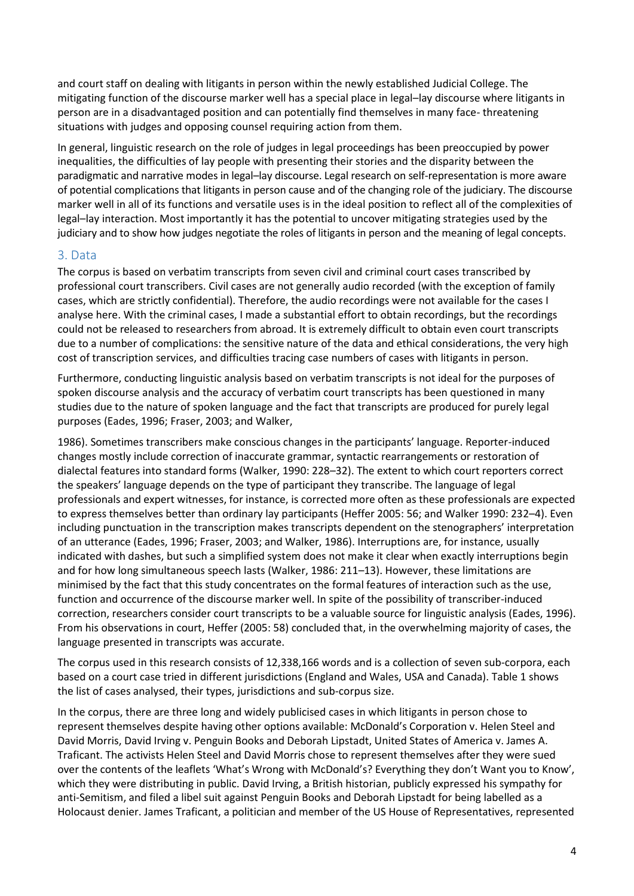and court staff on dealing with litigants in person within the newly established Judicial College. The mitigating function of the discourse marker well has a special place in legal–lay discourse where litigants in person are in a disadvantaged position and can potentially find themselves in many face- threatening situations with judges and opposing counsel requiring action from them.

In general, linguistic research on the role of judges in legal proceedings has been preoccupied by power inequalities, the difficulties of lay people with presenting their stories and the disparity between the paradigmatic and narrative modes in legal–lay discourse. Legal research on self-representation is more aware of potential complications that litigants in person cause and of the changing role of the judiciary. The discourse marker well in all of its functions and versatile uses is in the ideal position to reflect all of the complexities of legal–lay interaction. Most importantly it has the potential to uncover mitigating strategies used by the judiciary and to show how judges negotiate the roles of litigants in person and the meaning of legal concepts.

## 3. Data

The corpus is based on verbatim transcripts from seven civil and criminal court cases transcribed by professional court transcribers. Civil cases are not generally audio recorded (with the exception of family cases, which are strictly confidential). Therefore, the audio recordings were not available for the cases I analyse here. With the criminal cases, I made a substantial effort to obtain recordings, but the recordings could not be released to researchers from abroad. It is extremely difficult to obtain even court transcripts due to a number of complications: the sensitive nature of the data and ethical considerations, the very high cost of transcription services, and difficulties tracing case numbers of cases with litigants in person.

Furthermore, conducting linguistic analysis based on verbatim transcripts is not ideal for the purposes of spoken discourse analysis and the accuracy of verbatim court transcripts has been questioned in many studies due to the nature of spoken language and the fact that transcripts are produced for purely legal purposes (Eades, 1996; Fraser, 2003; and Walker,

1986). Sometimes transcribers make conscious changes in the participants' language. Reporter-induced changes mostly include correction of inaccurate grammar, syntactic rearrangements or restoration of dialectal features into standard forms (Walker, 1990: 228–32). The extent to which court reporters correct the speakers' language depends on the type of participant they transcribe. The language of legal professionals and expert witnesses, for instance, is corrected more often as these professionals are expected to express themselves better than ordinary lay participants (Heffer 2005: 56; and Walker 1990: 232–4). Even including punctuation in the transcription makes transcripts dependent on the stenographers' interpretation of an utterance (Eades, 1996; Fraser, 2003; and Walker, 1986). Interruptions are, for instance, usually indicated with dashes, but such a simplified system does not make it clear when exactly interruptions begin and for how long simultaneous speech lasts (Walker, 1986: 211–13). However, these limitations are minimised by the fact that this study concentrates on the formal features of interaction such as the use, function and occurrence of the discourse marker well. In spite of the possibility of transcriber-induced correction, researchers consider court transcripts to be a valuable source for linguistic analysis (Eades, 1996). From his observations in court, Heffer (2005: 58) concluded that, in the overwhelming majority of cases, the language presented in transcripts was accurate.

The corpus used in this research consists of 12,338,166 words and is a collection of seven sub-corpora, each based on a court case tried in different jurisdictions (England and Wales, USA and Canada). Table 1 shows the list of cases analysed, their types, jurisdictions and sub-corpus size.

In the corpus, there are three long and widely publicised cases in which litigants in person chose to represent themselves despite having other options available: McDonald's Corporation v. Helen Steel and David Morris, David Irving v. Penguin Books and Deborah Lipstadt, United States of America v. James A. Traficant. The activists Helen Steel and David Morris chose to represent themselves after they were sued over the contents of the leaflets 'What's Wrong with McDonald's? Everything they don't Want you to Know', which they were distributing in public. David Irving, a British historian, publicly expressed his sympathy for anti-Semitism, and filed a libel suit against Penguin Books and Deborah Lipstadt for being labelled as a Holocaust denier. James Traficant, a politician and member of the US House of Representatives, represented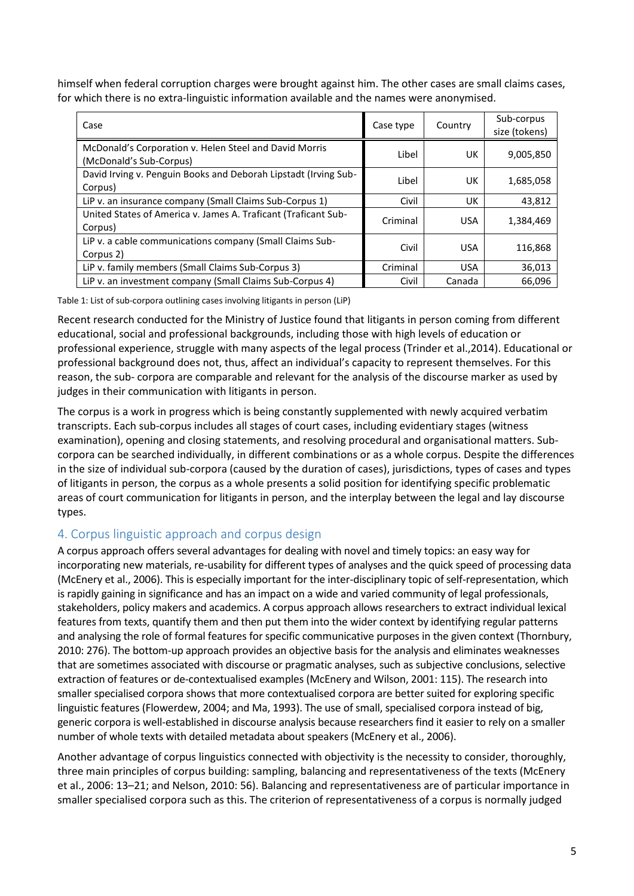himself when federal corruption charges were brought against him. The other cases are small claims cases, for which there is no extra-linguistic information available and the names were anonymised.

| Case                                                                              | Case type | Country    | Sub-corpus<br>size (tokens) |
|-----------------------------------------------------------------------------------|-----------|------------|-----------------------------|
| McDonald's Corporation v. Helen Steel and David Morris<br>(McDonald's Sub-Corpus) | Libel     | UK.        | 9,005,850                   |
| David Irving v. Penguin Books and Deborah Lipstadt (Irving Sub-<br>Corpus)        | Libel     | UK         | 1,685,058                   |
| LiP v. an insurance company (Small Claims Sub-Corpus 1)                           | Civil     | UK         | 43,812                      |
| United States of America v. James A. Traficant (Traficant Sub-<br>Corpus)         | Criminal  | <b>USA</b> | 1,384,469                   |
| LiP v. a cable communications company (Small Claims Sub-<br>Corpus 2)             | Civil     | <b>USA</b> | 116,868                     |
| LiP v. family members (Small Claims Sub-Corpus 3)                                 | Criminal  | <b>USA</b> | 36,013                      |
| LiP v. an investment company (Small Claims Sub-Corpus 4)                          | Civil     | Canada     | 66.096                      |

Table 1: List of sub-corpora outlining cases involving litigants in person (LiP)

Recent research conducted for the Ministry of Justice found that litigants in person coming from different educational, social and professional backgrounds, including those with high levels of education or professional experience, struggle with many aspects of the legal process (Trinder et al.,2014). Educational or professional background does not, thus, affect an individual's capacity to represent themselves. For this reason, the sub- corpora are comparable and relevant for the analysis of the discourse marker as used by judges in their communication with litigants in person.

The corpus is a work in progress which is being constantly supplemented with newly acquired verbatim transcripts. Each sub-corpus includes all stages of court cases, including evidentiary stages (witness examination), opening and closing statements, and resolving procedural and organisational matters. Subcorpora can be searched individually, in different combinations or as a whole corpus. Despite the differences in the size of individual sub-corpora (caused by the duration of cases), jurisdictions, types of cases and types of litigants in person, the corpus as a whole presents a solid position for identifying specific problematic areas of court communication for litigants in person, and the interplay between the legal and lay discourse types.

# 4. Corpus linguistic approach and corpus design

A corpus approach offers several advantages for dealing with novel and timely topics: an easy way for incorporating new materials, re-usability for different types of analyses and the quick speed of processing data (McEnery et al., 2006). This is especially important for the inter-disciplinary topic of self-representation, which is rapidly gaining in significance and has an impact on a wide and varied community of legal professionals, stakeholders, policy makers and academics. A corpus approach allows researchers to extract individual lexical features from texts, quantify them and then put them into the wider context by identifying regular patterns and analysing the role of formal features for specific communicative purposes in the given context (Thornbury, 2010: 276). The bottom-up approach provides an objective basis for the analysis and eliminates weaknesses that are sometimes associated with discourse or pragmatic analyses, such as subjective conclusions, selective extraction of features or de-contextualised examples (McEnery and Wilson, 2001: 115). The research into smaller specialised corpora shows that more contextualised corpora are better suited for exploring specific linguistic features (Flowerdew, 2004; and Ma, 1993). The use of small, specialised corpora instead of big, generic corpora is well-established in discourse analysis because researchers find it easier to rely on a smaller number of whole texts with detailed metadata about speakers (McEnery et al., 2006).

Another advantage of corpus linguistics connected with objectivity is the necessity to consider, thoroughly, three main principles of corpus building: sampling, balancing and representativeness of the texts (McEnery et al., 2006: 13–21; and Nelson, 2010: 56). Balancing and representativeness are of particular importance in smaller specialised corpora such as this. The criterion of representativeness of a corpus is normally judged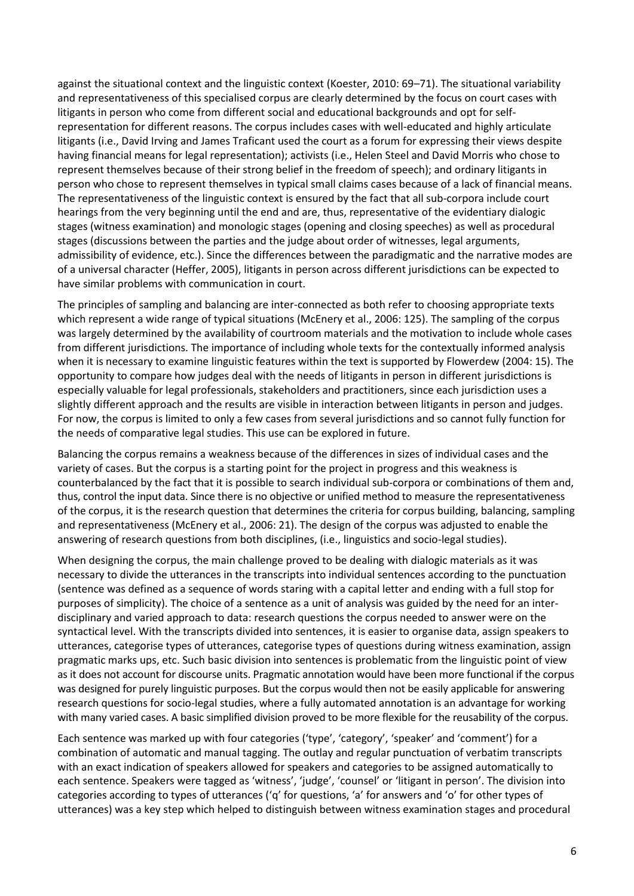against the situational context and the linguistic context (Koester, 2010: 69–71). The situational variability and representativeness of this specialised corpus are clearly determined by the focus on court cases with litigants in person who come from different social and educational backgrounds and opt for selfrepresentation for different reasons. The corpus includes cases with well-educated and highly articulate litigants (i.e., David Irving and James Traficant used the court as a forum for expressing their views despite having financial means for legal representation); activists (i.e., Helen Steel and David Morris who chose to represent themselves because of their strong belief in the freedom of speech); and ordinary litigants in person who chose to represent themselves in typical small claims cases because of a lack of financial means. The representativeness of the linguistic context is ensured by the fact that all sub-corpora include court hearings from the very beginning until the end and are, thus, representative of the evidentiary dialogic stages (witness examination) and monologic stages (opening and closing speeches) as well as procedural stages (discussions between the parties and the judge about order of witnesses, legal arguments, admissibility of evidence, etc.). Since the differences between the paradigmatic and the narrative modes are of a universal character (Heffer, 2005), litigants in person across different jurisdictions can be expected to have similar problems with communication in court.

The principles of sampling and balancing are inter-connected as both refer to choosing appropriate texts which represent a wide range of typical situations (McEnery et al., 2006: 125). The sampling of the corpus was largely determined by the availability of courtroom materials and the motivation to include whole cases from different jurisdictions. The importance of including whole texts for the contextually informed analysis when it is necessary to examine linguistic features within the text is supported by Flowerdew (2004: 15). The opportunity to compare how judges deal with the needs of litigants in person in different jurisdictions is especially valuable for legal professionals, stakeholders and practitioners, since each jurisdiction uses a slightly different approach and the results are visible in interaction between litigants in person and judges. For now, the corpus is limited to only a few cases from several jurisdictions and so cannot fully function for the needs of comparative legal studies. This use can be explored in future.

Balancing the corpus remains a weakness because of the differences in sizes of individual cases and the variety of cases. But the corpus is a starting point for the project in progress and this weakness is counterbalanced by the fact that it is possible to search individual sub-corpora or combinations of them and, thus, control the input data. Since there is no objective or unified method to measure the representativeness of the corpus, it is the research question that determines the criteria for corpus building, balancing, sampling and representativeness (McEnery et al., 2006: 21). The design of the corpus was adjusted to enable the answering of research questions from both disciplines, (i.e., linguistics and socio-legal studies).

When designing the corpus, the main challenge proved to be dealing with dialogic materials as it was necessary to divide the utterances in the transcripts into individual sentences according to the punctuation (sentence was defined as a sequence of words staring with a capital letter and ending with a full stop for purposes of simplicity). The choice of a sentence as a unit of analysis was guided by the need for an interdisciplinary and varied approach to data: research questions the corpus needed to answer were on the syntactical level. With the transcripts divided into sentences, it is easier to organise data, assign speakers to utterances, categorise types of utterances, categorise types of questions during witness examination, assign pragmatic marks ups, etc. Such basic division into sentences is problematic from the linguistic point of view as it does not account for discourse units. Pragmatic annotation would have been more functional if the corpus was designed for purely linguistic purposes. But the corpus would then not be easily applicable for answering research questions for socio-legal studies, where a fully automated annotation is an advantage for working with many varied cases. A basic simplified division proved to be more flexible for the reusability of the corpus.

Each sentence was marked up with four categories ('type', 'category', 'speaker' and 'comment') for a combination of automatic and manual tagging. The outlay and regular punctuation of verbatim transcripts with an exact indication of speakers allowed for speakers and categories to be assigned automatically to each sentence. Speakers were tagged as 'witness', 'judge', 'counsel' or 'litigant in person'. The division into categories according to types of utterances ('q' for questions, 'a' for answers and 'o' for other types of utterances) was a key step which helped to distinguish between witness examination stages and procedural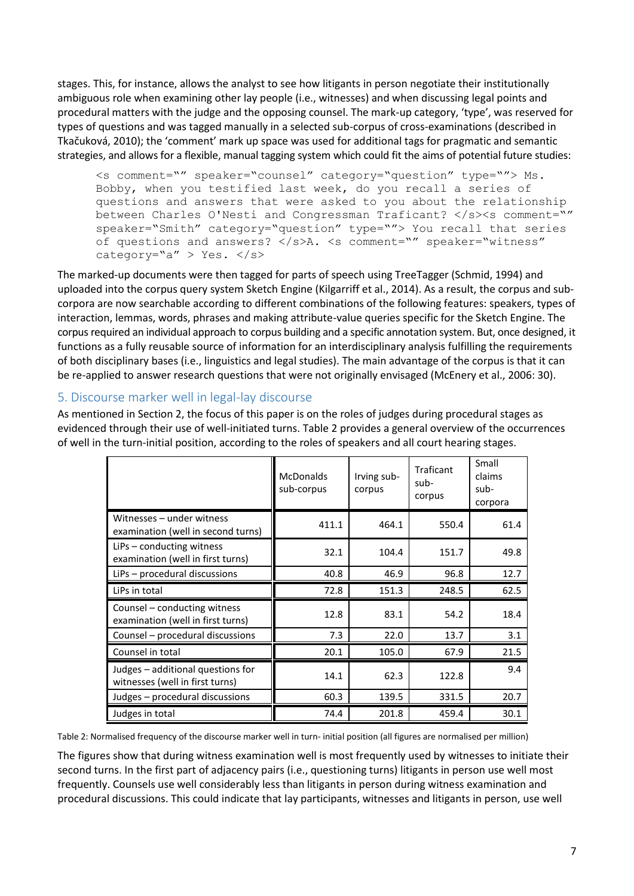stages. This, for instance, allows the analyst to see how litigants in person negotiate their institutionally ambiguous role when examining other lay people (i.e., witnesses) and when discussing legal points and procedural matters with the judge and the opposing counsel. The mark-up category, 'type', was reserved for types of questions and was tagged manually in a selected sub-corpus of cross-examinations (described in Tkačuková, 2010); the 'comment' mark up space was used for additional tags for pragmatic and semantic strategies, and allows for a flexible, manual tagging system which could fit the aims of potential future studies:

<s comment="" speaker="counsel" category="question" type=""> Ms. Bobby, when you testified last week, do you recall a series of questions and answers that were asked to you about the relationship between Charles O'Nesti and Congressman Traficant? </s><s comment="" speaker="Smith" category="question" type=""> You recall that series of questions and answers? </s>A. <s comment="" speaker="witness" category="a" > Yes. </s>

The marked-up documents were then tagged for parts of speech using TreeTagger (Schmid, 1994) and uploaded into the corpus query system Sketch Engine (Kilgarriff et al., 2014). As a result, the corpus and subcorpora are now searchable according to different combinations of the following features: speakers, types of interaction, lemmas, words, phrases and making attribute-value queries specific for the Sketch Engine. The corpus required an individual approach to corpus building and a specific annotation system. But, once designed, it functions as a fully reusable source of information for an interdisciplinary analysis fulfilling the requirements of both disciplinary bases (i.e., linguistics and legal studies). The main advantage of the corpus is that it can be re-applied to answer research questions that were not originally envisaged (McEnery et al., 2006: 30).

## 5. Discourse marker well in legal-lay discourse

As mentioned in Section 2, the focus of this paper is on the roles of judges during procedural stages as evidenced through their use of well-initiated turns. Table 2 provides a general overview of the occurrences of well in the turn-initial position, according to the roles of speakers and all court hearing stages.

|                                                                      | <b>McDonalds</b><br>sub-corpus | Irving sub-<br>corpus | Traficant<br>sub-<br>corpus | Small<br>claims<br>sub-<br>corpora |
|----------------------------------------------------------------------|--------------------------------|-----------------------|-----------------------------|------------------------------------|
| Witnesses – under witness<br>examination (well in second turns)      | 411.1                          | 464.1                 | 550.4                       | 61.4                               |
| LiPs – conducting witness<br>examination (well in first turns)       | 32.1                           | 104.4                 | 151.7                       | 49.8                               |
| LiPs - procedural discussions                                        | 40.8                           | 46.9                  | 96.8                        | 12.7                               |
| LiPs in total                                                        | 72.8                           | 151.3                 | 248.5                       | 62.5                               |
| Counsel – conducting witness<br>examination (well in first turns)    | 12.8                           | 83.1                  | 54.2                        | 18.4                               |
| Counsel - procedural discussions                                     | 7.3                            | 22.0                  | 13.7                        | 3.1                                |
| Counsel in total                                                     | 20.1                           | 105.0                 | 67.9                        | 21.5                               |
| Judges - additional questions for<br>witnesses (well in first turns) | 14.1                           | 62.3                  | 122.8                       | 9.4                                |
| Judges - procedural discussions                                      | 60.3                           | 139.5                 | 331.5                       | 20.7                               |
| Judges in total                                                      | 74.4                           | 201.8                 | 459.4                       | 30.1                               |

Table 2: Normalised frequency of the discourse marker well in turn- initial position (all figures are normalised per million)

The figures show that during witness examination well is most frequently used by witnesses to initiate their second turns. In the first part of adjacency pairs (i.e., questioning turns) litigants in person use well most frequently. Counsels use well considerably less than litigants in person during witness examination and procedural discussions. This could indicate that lay participants, witnesses and litigants in person, use well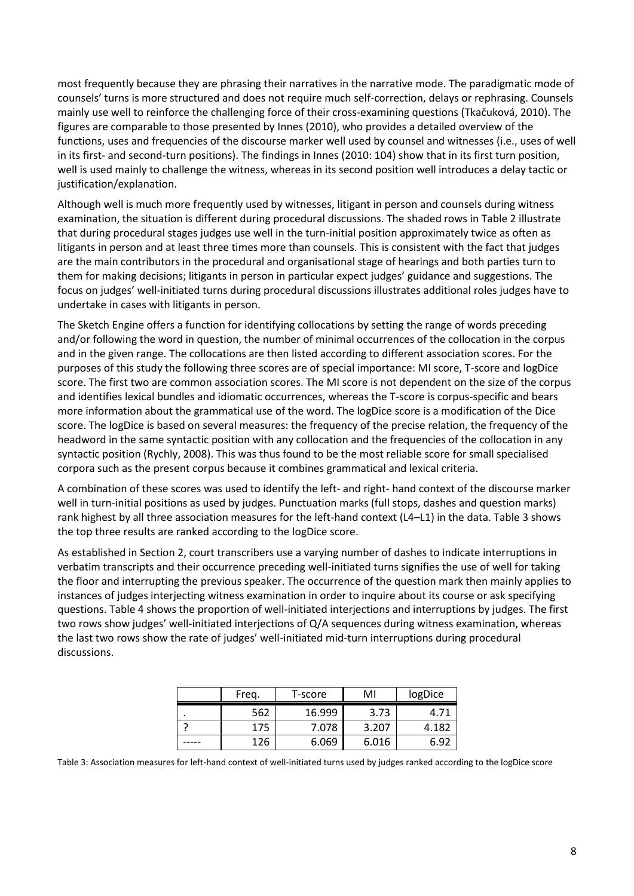most frequently because they are phrasing their narratives in the narrative mode. The paradigmatic mode of counsels' turns is more structured and does not require much self-correction, delays or rephrasing. Counsels mainly use well to reinforce the challenging force of their cross-examining questions (Tkačuková, 2010). The figures are comparable to those presented by Innes (2010), who provides a detailed overview of the functions, uses and frequencies of the discourse marker well used by counsel and witnesses (i.e., uses of well in its first- and second-turn positions). The findings in Innes (2010: 104) show that in its first turn position, well is used mainly to challenge the witness, whereas in its second position well introduces a delay tactic or justification/explanation.

Although well is much more frequently used by witnesses, litigant in person and counsels during witness examination, the situation is different during procedural discussions. The shaded rows in Table 2 illustrate that during procedural stages judges use well in the turn-initial position approximately twice as often as litigants in person and at least three times more than counsels. This is consistent with the fact that judges are the main contributors in the procedural and organisational stage of hearings and both parties turn to them for making decisions; litigants in person in particular expect judges' guidance and suggestions. The focus on judges' well-initiated turns during procedural discussions illustrates additional roles judges have to undertake in cases with litigants in person.

The Sketch Engine offers a function for identifying collocations by setting the range of words preceding and/or following the word in question, the number of minimal occurrences of the collocation in the corpus and in the given range. The collocations are then listed according to different association scores. For the purposes of this study the following three scores are of special importance: MI score, T-score and logDice score. The first two are common association scores. The MI score is not dependent on the size of the corpus and identifies lexical bundles and idiomatic occurrences, whereas the T-score is corpus-specific and bears more information about the grammatical use of the word. The logDice score is a modification of the Dice score. The logDice is based on several measures: the frequency of the precise relation, the frequency of the headword in the same syntactic position with any collocation and the frequencies of the collocation in any syntactic position (Rychly, 2008). This was thus found to be the most reliable score for small specialised corpora such as the present corpus because it combines grammatical and lexical criteria.

A combination of these scores was used to identify the left- and right- hand context of the discourse marker well in turn-initial positions as used by judges. Punctuation marks (full stops, dashes and question marks) rank highest by all three association measures for the left-hand context (L4–L1) in the data. Table 3 shows the top three results are ranked according to the logDice score.

As established in Section 2, court transcribers use a varying number of dashes to indicate interruptions in verbatim transcripts and their occurrence preceding well-initiated turns signifies the use of well for taking the floor and interrupting the previous speaker. The occurrence of the question mark then mainly applies to instances of judges interjecting witness examination in order to inquire about its course or ask specifying questions. Table 4 shows the proportion of well-initiated interjections and interruptions by judges. The first two rows show judges' well-initiated interjections of Q/A sequences during witness examination, whereas the last two rows show the rate of judges' well-initiated mid-turn interruptions during procedural discussions.

| Freg. | T-score | MI    | logDice |
|-------|---------|-------|---------|
| 562   | 16.999  | 3.73  | 4.71    |
| 175   | 7.078   | 3.207 | 4.182   |
| 126   | 6.069   | 6.016 | 6.9.    |

Table 3: Association measures for left-hand context of well-initiated turns used by judges ranked according to the logDice score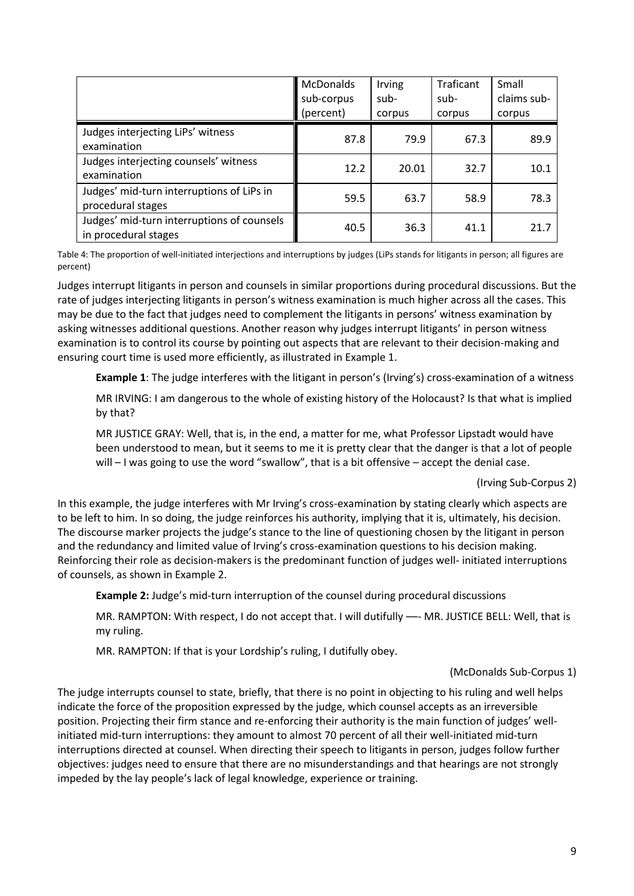|                                                                    | McDonalds<br>sub-corpus<br>(percent) | Irving<br>sub-<br>corpus | Traficant<br>sub-<br>corpus | Small<br>claims sub-<br>corpus |
|--------------------------------------------------------------------|--------------------------------------|--------------------------|-----------------------------|--------------------------------|
| Judges interjecting LiPs' witness<br>examination                   | 87.8                                 | 79.9                     | 67.3                        | 89.9                           |
| Judges interjecting counsels' witness<br>examination               | 12.2                                 | 20.01                    | 32.7                        | 10.1                           |
| Judges' mid-turn interruptions of LiPs in<br>procedural stages     | 59.5                                 | 63.7                     | 58.9                        | 78.3                           |
| Judges' mid-turn interruptions of counsels<br>in procedural stages | 40.5                                 | 36.3                     | 41.1                        | 21.7                           |

Table 4: The proportion of well-initiated interjections and interruptions by judges (LiPs stands for litigants in person; all figures are percent)

Judges interrupt litigants in person and counsels in similar proportions during procedural discussions. But the rate of judges interjecting litigants in person's witness examination is much higher across all the cases. This may be due to the fact that judges need to complement the litigants in persons' witness examination by asking witnesses additional questions. Another reason why judges interrupt litigants' in person witness examination is to control its course by pointing out aspects that are relevant to their decision-making and ensuring court time is used more efficiently, as illustrated in Example 1.

**Example 1**: The judge interferes with the litigant in person's (Irving's) cross-examination of a witness

MR IRVING: I am dangerous to the whole of existing history of the Holocaust? Is that what is implied by that?

MR JUSTICE GRAY: Well, that is, in the end, a matter for me, what Professor Lipstadt would have been understood to mean, but it seems to me it is pretty clear that the danger is that a lot of people will – I was going to use the word "swallow", that is a bit offensive – accept the denial case.

#### (Irving Sub-Corpus 2)

In this example, the judge interferes with Mr Irving's cross-examination by stating clearly which aspects are to be left to him. In so doing, the judge reinforces his authority, implying that it is, ultimately, his decision. The discourse marker projects the judge's stance to the line of questioning chosen by the litigant in person and the redundancy and limited value of Irving's cross-examination questions to his decision making. Reinforcing their role as decision-makers is the predominant function of judges well- initiated interruptions of counsels, as shown in Example 2.

**Example 2:** Judge's mid-turn interruption of the counsel during procedural discussions

MR. RAMPTON: With respect, I do not accept that. I will dutifully -- MR. JUSTICE BELL: Well, that is my ruling.

MR. RAMPTON: If that is your Lordship's ruling, I dutifully obey.

#### (McDonalds Sub-Corpus 1)

The judge interrupts counsel to state, briefly, that there is no point in objecting to his ruling and well helps indicate the force of the proposition expressed by the judge, which counsel accepts as an irreversible position. Projecting their firm stance and re-enforcing their authority is the main function of judges' wellinitiated mid-turn interruptions: they amount to almost 70 percent of all their well-initiated mid-turn interruptions directed at counsel. When directing their speech to litigants in person, judges follow further objectives: judges need to ensure that there are no misunderstandings and that hearings are not strongly impeded by the lay people's lack of legal knowledge, experience or training.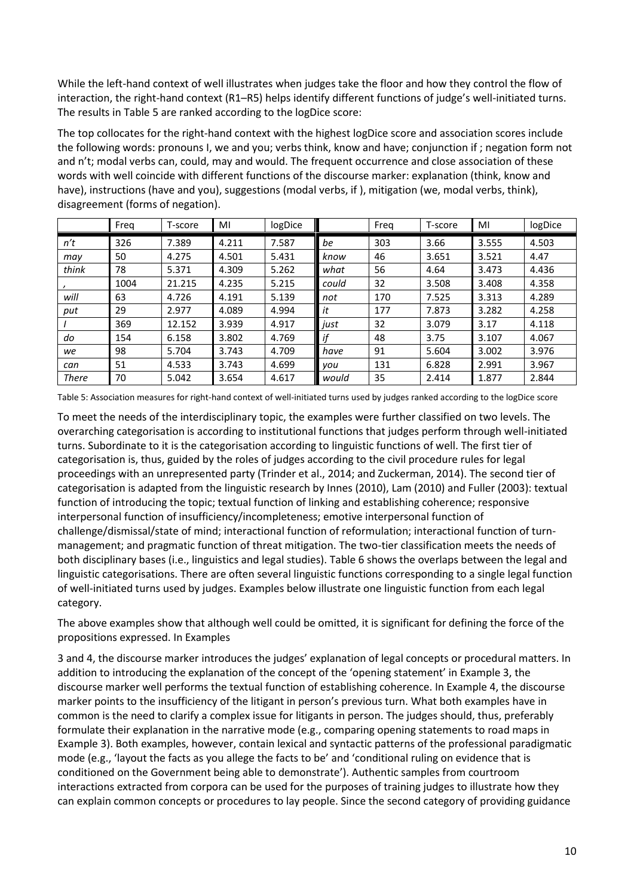While the left-hand context of well illustrates when judges take the floor and how they control the flow of interaction, the right-hand context (R1–R5) helps identify different functions of judge's well-initiated turns. The results in Table 5 are ranked according to the logDice score:

The top collocates for the right-hand context with the highest logDice score and association scores include the following words: pronouns I, we and you; verbs think, know and have; conjunction if ; negation form not and n't; modal verbs can, could, may and would. The frequent occurrence and close association of these words with well coincide with different functions of the discourse marker: explanation (think, know and have), instructions (have and you), suggestions (modal verbs, if ), mitigation (we, modal verbs, think), disagreement (forms of negation).

|              | Freq | T-score | MI    | logDice |       | Freg | T-score | MI    | logDice |
|--------------|------|---------|-------|---------|-------|------|---------|-------|---------|
| n't          | 326  | 7.389   | 4.211 | 7.587   | be    | 303  | 3.66    | 3.555 | 4.503   |
| may          | 50   | 4.275   | 4.501 | 5.431   | know  | 46   | 3.651   | 3.521 | 4.47    |
| think        | 78   | 5.371   | 4.309 | 5.262   | what  | 56   | 4.64    | 3.473 | 4.436   |
|              | 1004 | 21.215  | 4.235 | 5.215   | could | 32   | 3.508   | 3.408 | 4.358   |
| will         | 63   | 4.726   | 4.191 | 5.139   | not   | 170  | 7.525   | 3.313 | 4.289   |
| put          | 29   | 2.977   | 4.089 | 4.994   | it    | 177  | 7.873   | 3.282 | 4.258   |
|              | 369  | 12.152  | 3.939 | 4.917   | just  | 32   | 3.079   | 3.17  | 4.118   |
| do           | 154  | 6.158   | 3.802 | 4.769   | if    | 48   | 3.75    | 3.107 | 4.067   |
| we           | 98   | 5.704   | 3.743 | 4.709   | have  | 91   | 5.604   | 3.002 | 3.976   |
| can          | 51   | 4.533   | 3.743 | 4.699   | vou   | 131  | 6.828   | 2.991 | 3.967   |
| <b>There</b> | 70   | 5.042   | 3.654 | 4.617   | would | 35   | 2.414   | 1.877 | 2.844   |

Table 5: Association measures for right-hand context of well-initiated turns used by judges ranked according to the logDice score

To meet the needs of the interdisciplinary topic, the examples were further classified on two levels. The overarching categorisation is according to institutional functions that judges perform through well-initiated turns. Subordinate to it is the categorisation according to linguistic functions of well. The first tier of categorisation is, thus, guided by the roles of judges according to the civil procedure rules for legal proceedings with an unrepresented party (Trinder et al., 2014; and Zuckerman, 2014). The second tier of categorisation is adapted from the linguistic research by Innes (2010), Lam (2010) and Fuller (2003): textual function of introducing the topic; textual function of linking and establishing coherence; responsive interpersonal function of insufficiency/incompleteness; emotive interpersonal function of challenge/dismissal/state of mind; interactional function of reformulation; interactional function of turnmanagement; and pragmatic function of threat mitigation. The two-tier classification meets the needs of both disciplinary bases (i.e., linguistics and legal studies). Table 6 shows the overlaps between the legal and linguistic categorisations. There are often several linguistic functions corresponding to a single legal function of well-initiated turns used by judges. Examples below illustrate one linguistic function from each legal category.

The above examples show that although well could be omitted, it is significant for defining the force of the propositions expressed. In Examples

3 and 4, the discourse marker introduces the judges' explanation of legal concepts or procedural matters. In addition to introducing the explanation of the concept of the 'opening statement' in Example 3, the discourse marker well performs the textual function of establishing coherence. In Example 4, the discourse marker points to the insufficiency of the litigant in person's previous turn. What both examples have in common is the need to clarify a complex issue for litigants in person. The judges should, thus, preferably formulate their explanation in the narrative mode (e.g., comparing opening statements to road maps in Example 3). Both examples, however, contain lexical and syntactic patterns of the professional paradigmatic mode (e.g., 'layout the facts as you allege the facts to be' and 'conditional ruling on evidence that is conditioned on the Government being able to demonstrate'). Authentic samples from courtroom interactions extracted from corpora can be used for the purposes of training judges to illustrate how they can explain common concepts or procedures to lay people. Since the second category of providing guidance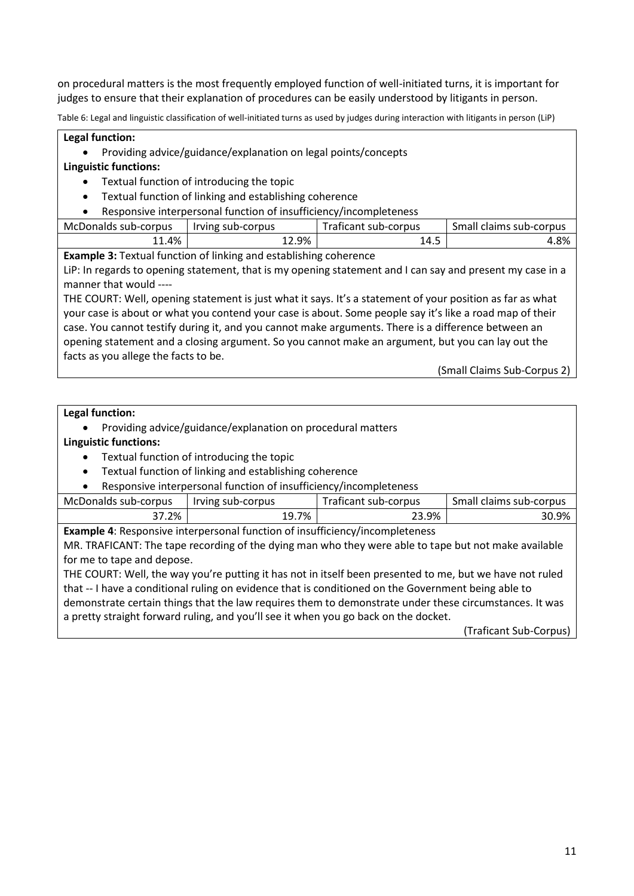on procedural matters is the most frequently employed function of well-initiated turns, it is important for judges to ensure that their explanation of procedures can be easily understood by litigants in person.

Table 6: Legal and linguistic classification of well-initiated turns as used by judges during interaction with litigants in person (LiP)

#### **Legal function:**

Providing advice/guidance/explanation on legal points/concepts

#### **Linguistic functions:**

- Textual function of introducing the topic
- Textual function of linking and establishing coherence
- Responsive interpersonal function of insufficiency/incompleteness

| 12.9%<br>$1.4\%$<br>14.5 | McDonalds sub-corpus | Irving sub-corpus | Traficant sub-corpus | Small claims sub-corpus |
|--------------------------|----------------------|-------------------|----------------------|-------------------------|
|                          |                      |                   |                      | 4.8%                    |

**Example 3:** Textual function of linking and establishing coherence

LiP: In regards to opening statement, that is my opening statement and I can say and present my case in a manner that would ----

THE COURT: Well, opening statement is just what it says. It's a statement of your position as far as what your case is about or what you contend your case is about. Some people say it's like a road map of their case. You cannot testify during it, and you cannot make arguments. There is a difference between an opening statement and a closing argument. So you cannot make an argument, but you can lay out the facts as you allege the facts to be.

(Small Claims Sub-Corpus 2)

#### **Legal function:**

Providing advice/guidance/explanation on procedural matters

#### **Linguistic functions:**

- Textual function of introducing the topic
- Textual function of linking and establishing coherence
- Responsive interpersonal function of insufficiency/incompleteness

| McDonalds sub-corpus | Irving sub-corpus | Traficant sub-corpus | Small claims sub-corpus |
|----------------------|-------------------|----------------------|-------------------------|
| 37.2%                | 19.7%             | 23.9%                | 30.9%                   |
|                      |                   |                      |                         |

**Example 4**: Responsive interpersonal function of insufficiency/incompleteness

MR. TRAFICANT: The tape recording of the dying man who they were able to tape but not make available for me to tape and depose.

THE COURT: Well, the way you're putting it has not in itself been presented to me, but we have not ruled that -- I have a conditional ruling on evidence that is conditioned on the Government being able to demonstrate certain things that the law requires them to demonstrate under these circumstances. It was a pretty straight forward ruling, and you'll see it when you go back on the docket.

(Traficant Sub-Corpus)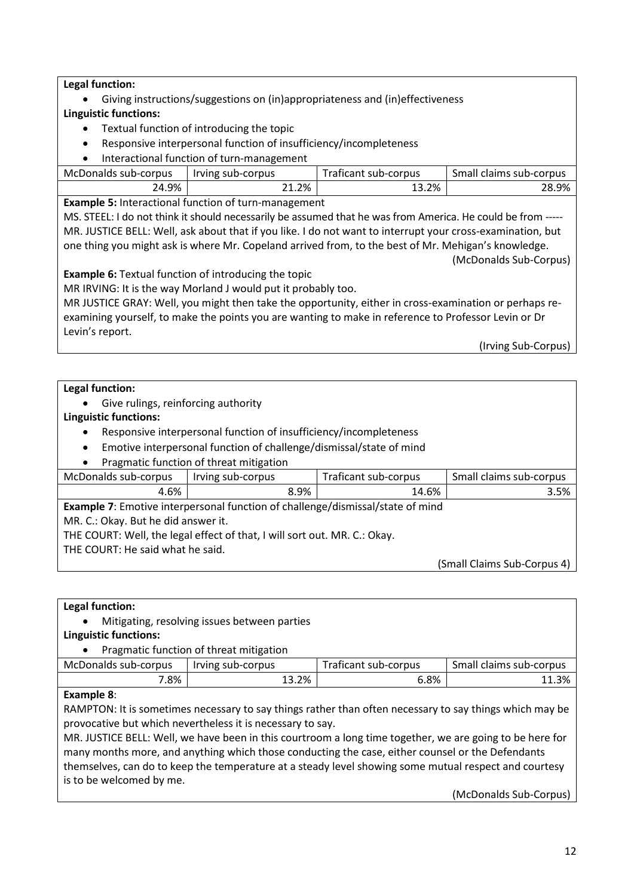## **Legal function:**

- Giving instructions/suggestions on (in)appropriateness and (in)effectiveness
- **Linguistic functions:**
	- Textual function of introducing the topic
	- Responsive interpersonal function of insufficiency/incompleteness
	- Interactional function of turn-management

| McDonalds sub-corpus | Irving sub-corpus | Traficant sub-corpus | Small claims sub-corpus |
|----------------------|-------------------|----------------------|-------------------------|
| 24.9%                | 21.2%             | - 3.2%               | 28.9%                   |

**Example 5:** Interactional function of turn-management

MS. STEEL: I do not think it should necessarily be assumed that he was from America. He could be from ----- MR. JUSTICE BELL: Well, ask about that if you like. I do not want to interrupt your cross-examination, but one thing you might ask is where Mr. Copeland arrived from, to the best of Mr. Mehigan's knowledge.

(McDonalds Sub-Corpus)

**Example 6:** Textual function of introducing the topic

MR IRVING: It is the way Morland J would put it probably too.

MR JUSTICE GRAY: Well, you might then take the opportunity, either in cross-examination or perhaps reexamining yourself, to make the points you are wanting to make in reference to Professor Levin or Dr Levin's report.

(Irving Sub-Corpus)

#### **Legal function:**

• Give rulings, reinforcing authority

#### **Linguistic functions:**

- Responsive interpersonal function of insufficiency/incompleteness
- Emotive interpersonal function of challenge/dismissal/state of mind
- Pragmatic function of threat mitigation

| McDonalds sub-corpus                                                                  | Irving sub-corpus | Traficant sub-corpus | Small claims sub-corpus |  |  |
|---------------------------------------------------------------------------------------|-------------------|----------------------|-------------------------|--|--|
| 4.6%                                                                                  | 8.9%              | 14.6%                | 3.5%                    |  |  |
| <b>Example 7:</b> Emotive interpersonal function of challenge/dismissal/state of mind |                   |                      |                         |  |  |
| MR. C.: Okay. But he did answer it.                                                   |                   |                      |                         |  |  |
| THE COURT: Well, the legal effect of that, I will sort out. MR. C.: Okay.             |                   |                      |                         |  |  |
| THE COURT: He said what he said.                                                      |                   |                      |                         |  |  |

(Small Claims Sub-Corpus 4)

#### **Legal function:**

Mitigating, resolving issues between parties

#### **Linguistic functions:**

#### Pragmatic function of threat mitigation

| McDonalds sub-corpus | Irving sub-corpus | Traficant sub-corpus | Small claims sub-corpus |
|----------------------|-------------------|----------------------|-------------------------|
| .8%                  | 13.2%             | 6.8%                 | 11.3%                   |

#### **Example 8**:

RAMPTON: It is sometimes necessary to say things rather than often necessary to say things which may be provocative but which nevertheless it is necessary to say.

MR. JUSTICE BELL: Well, we have been in this courtroom a long time together, we are going to be here for many months more, and anything which those conducting the case, either counsel or the Defendants themselves, can do to keep the temperature at a steady level showing some mutual respect and courtesy is to be welcomed by me.

(McDonalds Sub-Corpus)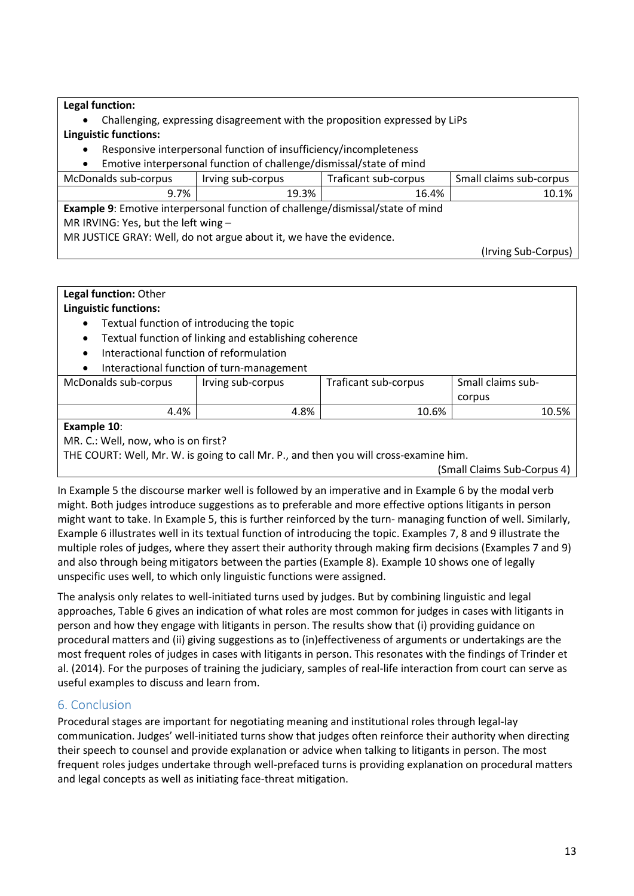**Legal function:**

- Challenging, expressing disagreement with the proposition expressed by LiPs **Linguistic functions:**
	- Responsive interpersonal function of insufficiency/incompleteness

| Emotive interpersonal function of challenge/dismissal/state of mind |                   |                      |                         |  |
|---------------------------------------------------------------------|-------------------|----------------------|-------------------------|--|
| McDonalds sub-corpus                                                | Irving sub-corpus | Traficant sub-corpus | Small claims sub-corpus |  |
| 9.7%                                                                | 19.3%             | 16.4%                | 10.1%                   |  |

**Example 9**: Emotive interpersonal function of challenge/dismissal/state of mind MR IRVING: Yes, but the left wing – MR JUSTICE GRAY: Well, do not argue about it, we have the evidence.

(Irving Sub-Corpus)

| Legal function: Other                                                                 |                                                        |                      |                             |  |  |
|---------------------------------------------------------------------------------------|--------------------------------------------------------|----------------------|-----------------------------|--|--|
| <b>Linguistic functions:</b>                                                          |                                                        |                      |                             |  |  |
| $\bullet$                                                                             | Textual function of introducing the topic              |                      |                             |  |  |
| $\bullet$                                                                             | Textual function of linking and establishing coherence |                      |                             |  |  |
| Interactional function of reformulation<br>$\bullet$                                  |                                                        |                      |                             |  |  |
| Interactional function of turn-management                                             |                                                        |                      |                             |  |  |
| McDonalds sub-corpus                                                                  | Irving sub-corpus                                      | Traficant sub-corpus | Small claims sub-           |  |  |
|                                                                                       | corpus                                                 |                      |                             |  |  |
| 4.8%<br>10.5%<br>4.4%<br>10.6%                                                        |                                                        |                      |                             |  |  |
| Example 10:                                                                           |                                                        |                      |                             |  |  |
| MR. C.: Well, now, who is on first?                                                   |                                                        |                      |                             |  |  |
| THE COURT: Well, Mr. W. is going to call Mr. P., and then you will cross-examine him. |                                                        |                      |                             |  |  |
|                                                                                       |                                                        |                      | (Small Claime Sub-Corpus 1) |  |  |

imall Claims Sub-Corpus 4) |

In Example 5 the discourse marker well is followed by an imperative and in Example 6 by the modal verb might. Both judges introduce suggestions as to preferable and more effective options litigants in person might want to take. In Example 5, this is further reinforced by the turn- managing function of well. Similarly, Example 6 illustrates well in its textual function of introducing the topic. Examples 7, 8 and 9 illustrate the multiple roles of judges, where they assert their authority through making firm decisions (Examples 7 and 9) and also through being mitigators between the parties (Example 8). Example 10 shows one of legally unspecific uses well, to which only linguistic functions were assigned.

The analysis only relates to well-initiated turns used by judges. But by combining linguistic and legal approaches, Table 6 gives an indication of what roles are most common for judges in cases with litigants in person and how they engage with litigants in person. The results show that (i) providing guidance on procedural matters and (ii) giving suggestions as to (in)effectiveness of arguments or undertakings are the most frequent roles of judges in cases with litigants in person. This resonates with the findings of Trinder et al. (2014). For the purposes of training the judiciary, samples of real-life interaction from court can serve as useful examples to discuss and learn from.

# 6. Conclusion

Procedural stages are important for negotiating meaning and institutional roles through legal-lay communication. Judges' well-initiated turns show that judges often reinforce their authority when directing their speech to counsel and provide explanation or advice when talking to litigants in person. The most frequent roles judges undertake through well-prefaced turns is providing explanation on procedural matters and legal concepts as well as initiating face-threat mitigation.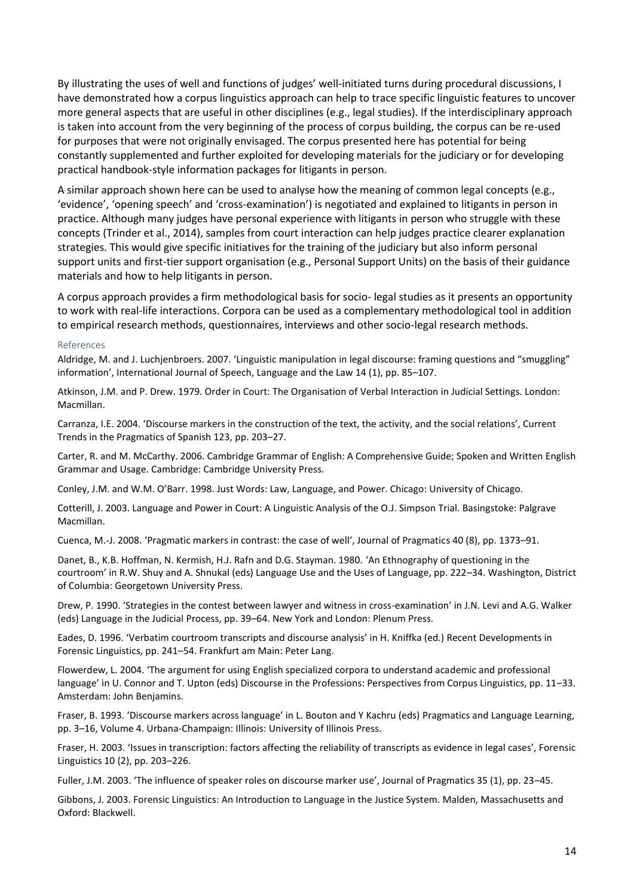By illustrating the uses of well and functions of judges' well-initiated turns during procedural discussions, I have demonstrated how a corpus linguistics approach can help to trace specific linguistic features to uncover more general aspects that are useful in other disciplines (e.g., legal studies). If the interdisciplinary approach is taken into account from the very beginning of the process of corpus building, the corpus can be re-used for purposes that were not originally envisaged. The corpus presented here has potential for being constantly supplemented and further exploited for developing materials for the judiciary or for developing practical handbook-style information packages for litigants in person.

A similar approach shown here can be used to analyse how the meaning of common legal concepts (e.g., 'evidence', 'opening speech' and 'cross-examination') is negotiated and explained to litigants in person in practice. Although many judges have personal experience with litigants in person who struggle with these concepts (Trinder et al., 2014), samples from court interaction can help judges practice clearer explanation strategies. This would give specific initiatives for the training of the judiciary but also inform personal support units and first-tier support organisation (e.g., Personal Support Units) on the basis of their guidance materials and how to help litigants in person.

A corpus approach provides a firm methodological basis for socio- legal studies as it presents an opportunity to work with real-life interactions. Corpora can be used as a complementary methodological tool in addition to empirical research methods, questionnaires, interviews and other socio-legal research methods.

#### References

Aldridge, M. and J. Luchjenbroers. 2007. 'Linguistic manipulation in legal discourse: framing questions and "smuggling" information', International Journal of Speech, Language and the Law 14 (1), pp. 85–107.

Atkinson, J.M. and P. Drew. 1979. Order in Court: The Organisation of Verbal Interaction in Judicial Settings. London: Macmillan.

Carranza, I.E. 2004. 'Discourse markers in the construction of the text, the activity, and the social relations', Current Trends in the Pragmatics of Spanish 123, pp. 203–27.

Carter, R. and M. McCarthy. 2006. Cambridge Grammar of English: A Comprehensive Guide; Spoken and Written English Grammar and Usage. Cambridge: Cambridge University Press.

Conley, J.M. and W.M. O'Barr. 1998. Just Words: Law, Language, and Power. Chicago: University of Chicago.

Cotterill, J. 2003. Language and Power in Court: A Linguistic Analysis of the O.J. Simpson Trial. Basingstoke: Palgrave Macmillan.

Cuenca, M.-J. 2008. 'Pragmatic markers in contrast: the case of well', Journal of Pragmatics 40 (8), pp. 1373–91.

Danet, B., K.B. Hoffman, N. Kermish, H.J. Rafn and D.G. Stayman. 1980. 'An Ethnography of questioning in the courtroom' in R.W. Shuy and A. Shnukal (eds) Language Use and the Uses of Language, pp. 222–34. Washington, District of Columbia: Georgetown University Press.

Drew, P. 1990. 'Strategies in the contest between lawyer and witness in cross-examination' in J.N. Levi and A.G. Walker (eds) Language in the Judicial Process, pp. 39–64. New York and London: Plenum Press.

Eades, D. 1996. 'Verbatim courtroom transcripts and discourse analysis' in H. Kniffka (ed.) Recent Developments in Forensic Linguistics, pp. 241–54. Frankfurt am Main: Peter Lang.

Flowerdew, L. 2004. 'The argument for using English specialized corpora to understand academic and professional language' in U. Connor and T. Upton (eds) Discourse in the Professions: Perspectives from Corpus Linguistics, pp. 11–33. Amsterdam: John Benjamins.

Fraser, B. 1993. 'Discourse markers across language' in L. Bouton and Y Kachru (eds) Pragmatics and Language Learning, pp. 3–16, Volume 4. Urbana-Champaign: Illinois: University of Illinois Press.

Fraser, H. 2003. 'Issues in transcription: factors affecting the reliability of transcripts as evidence in legal cases', Forensic Linguistics 10 (2), pp. 203–226.

Fuller, J.M. 2003. 'The influence of speaker roles on discourse marker use', Journal of Pragmatics 35 (1), pp. 23–45.

Gibbons, J. 2003. Forensic Linguistics: An Introduction to Language in the Justice System. Malden, Massachusetts and Oxford: Blackwell.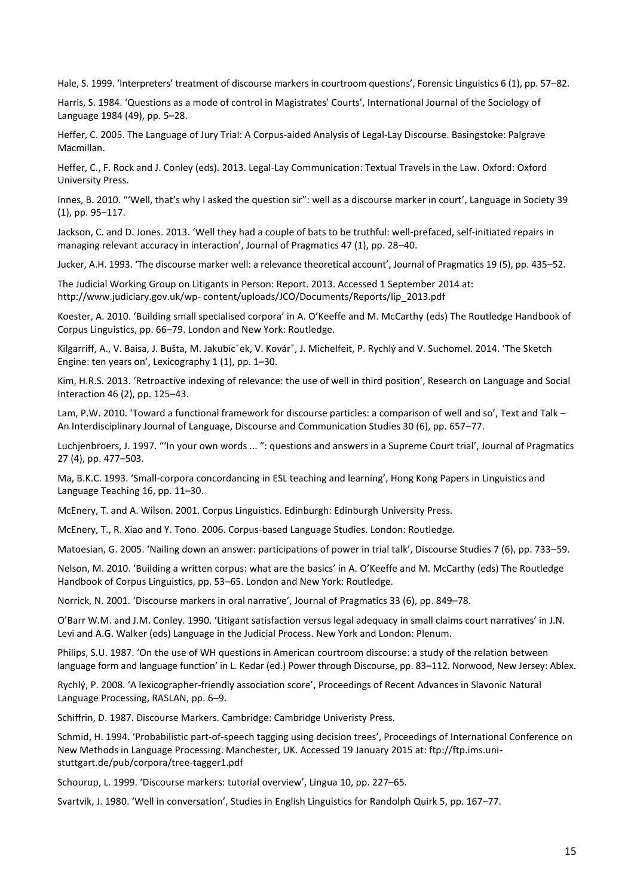Hale, S. 1999. 'Interpreters' treatment of discourse markers in courtroom questions', Forensic Linguistics 6 (1), pp. 57–82.

Harris, S. 1984. 'Questions as a mode of control in Magistrates' Courts', International Journal of the Sociology of Language 1984 (49), pp. 5–28.

Heffer, C. 2005. The Language of Jury Trial: A Corpus-aided Analysis of Legal-Lay Discourse. Basingstoke: Palgrave Macmillan.

Heffer, C., F. Rock and J. Conley (eds). 2013. Legal-Lay Communication: Textual Travels in the Law. Oxford: Oxford University Press.

Innes, B. 2010. "'Well, that's why I asked the question sir": well as a discourse marker in court', Language in Society 39 (1), pp. 95–117.

Jackson, C. and D. Jones. 2013. 'Well they had a couple of bats to be truthful: well-prefaced, self-initiated repairs in managing relevant accuracy in interaction', Journal of Pragmatics 47 (1), pp. 28–40.

Jucker, A.H. 1993. 'The discourse marker well: a relevance theoretical account', Journal of Pragmatics 19 (5), pp. 435–52.

The Judicial Working Group on Litigants in Person: Report. 2013. Accessed 1 September 2014 at: http://www.judiciary.gov.uk/wp- content/uploads/JCO/Documents/Reports/lip\_2013.pdf

Koester, A. 2010. 'Building small specialised corpora' in A. O'Keeffe and M. McCarthy (eds) The Routledge Handbook of Corpus Linguistics, pp. 66–79. London and New York: Routledge.

Kilgarriff, A., V. Baisa, J. Bušta, M. Jakubícˇek, V. Kovárˇ, J. Michelfeit, P. Rychlý and V. Suchomel. 2014. 'The Sketch Engine: ten years on', Lexicography 1 (1), pp. 1–30.

Kim, H.R.S. 2013. 'Retroactive indexing of relevance: the use of well in third position', Research on Language and Social Interaction 46 (2), pp. 125–43.

Lam, P.W. 2010. 'Toward a functional framework for discourse particles: a comparison of well and so', Text and Talk – An Interdisciplinary Journal of Language, Discourse and Communication Studies 30 (6), pp. 657–77.

Luchjenbroers, J. 1997. "'In your own words ... ": questions and answers in a Supreme Court trial', Journal of Pragmatics 27 (4), pp. 477–503.

Ma, B.K.C. 1993. 'Small-corpora concordancing in ESL teaching and learning', Hong Kong Papers in Linguistics and Language Teaching 16, pp. 11–30.

McEnery, T. and A. Wilson. 2001. Corpus Linguistics. Edinburgh: Edinburgh University Press.

McEnery, T., R. Xiao and Y. Tono. 2006. Corpus-based Language Studies. London: Routledge.

Matoesian, G. 2005. 'Nailing down an answer: participations of power in trial talk', Discourse Studies 7 (6), pp. 733–59.

Nelson, M. 2010. 'Building a written corpus: what are the basics' in A. O'Keeffe and M. McCarthy (eds) The Routledge Handbook of Corpus Linguistics, pp. 53–65. London and New York: Routledge.

Norrick, N. 2001. 'Discourse markers in oral narrative', Journal of Pragmatics 33 (6), pp. 849–78.

O'Barr W.M. and J.M. Conley. 1990. 'Litigant satisfaction versus legal adequacy in small claims court narratives' in J.N. Levi and A.G. Walker (eds) Language in the Judicial Process. New York and London: Plenum.

Philips, S.U. 1987. 'On the use of WH questions in American courtroom discourse: a study of the relation between language form and language function' in L. Kedar (ed.) Power through Discourse, pp. 83–112. Norwood, New Jersey: Ablex.

Rychlý, P. 2008. 'A lexicographer-friendly association score', Proceedings of Recent Advances in Slavonic Natural Language Processing, RASLAN, pp. 6–9.

Schiffrin, D. 1987. Discourse Markers. Cambridge: Cambridge Univeristy Press.

Schmid, H. 1994. 'Probabilistic part-of-speech tagging using decision trees', Proceedings of International Conference on New Methods in Language Processing. Manchester, UK. Accessed 19 January 2015 at: ftp://ftp.ims.unistuttgart.de/pub/corpora/tree-tagger1.pdf

Schourup, L. 1999. 'Discourse markers: tutorial overview', Lingua 10, pp. 227–65.

Svartvik, J. 1980. 'Well in conversation', Studies in English Linguistics for Randolph Quirk 5, pp. 167–77.